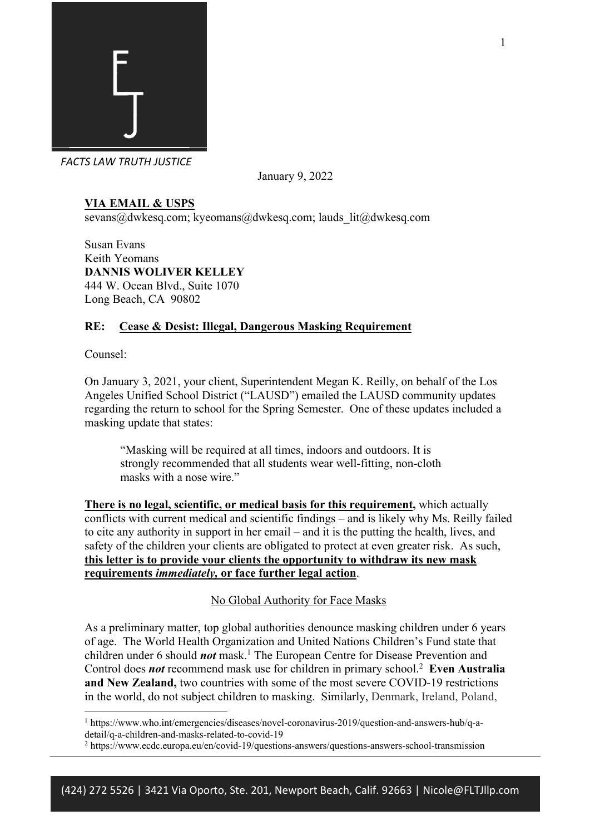

January 9, 2022

# **VIA EMAIL & USPS**

sevans@dwkesq.com; kyeomans@dwkesq.com; lauds\_lit@dwkesq.com

Susan Evans Keith Yeomans **DANNIS WOLIVER KELLEY** 444 W. Ocean Blvd., Suite 1070 Long Beach, CA 90802

## **RE: Cease & Desist: Illegal, Dangerous Masking Requirement**

Counsel:

On January 3, 2021, your client, Superintendent Megan K. Reilly, on behalf of the Los Angeles Unified School District ("LAUSD") emailed the LAUSD community updates regarding the return to school for the Spring Semester. One of these updates included a masking update that states:

"Masking will be required at all times, indoors and outdoors. It is strongly recommended that all students wear well-fitting, non-cloth masks with a nose wire."

**There is no legal, scientific, or medical basis for this requirement,** which actually conflicts with current medical and scientific findings – and is likely why Ms. Reilly failed to cite any authority in support in her email – and it is the putting the health, lives, and safety of the children your clients are obligated to protect at even greater risk. As such, **this letter is to provide your clients the opportunity to withdraw its new mask requirements** *immediately,* **or face further legal action**.

No Global Authority for Face Masks

As a preliminary matter, top global authorities denounce masking children under 6 years of age. The World Health Organization and United Nations Children's Fund state that children under 6 should *not* mask. <sup>1</sup> The European Centre for Disease Prevention and Control does *not* recommend mask use for children in primary school.2 **Even Australia and New Zealand,** two countries with some of the most severe COVID-19 restrictions in the world, do not subject children to masking. Similarly, Denmark, Ireland, Poland,

<sup>1</sup> https://www.who.int/emergencies/diseases/novel-coronavirus-2019/question-and-answers-hub/q-adetail/q-a-children-and-masks-related-to-covid-19

<sup>2</sup> https://www.ecdc.europa.eu/en/covid-19/questions-answers/questions-answers-school-transmission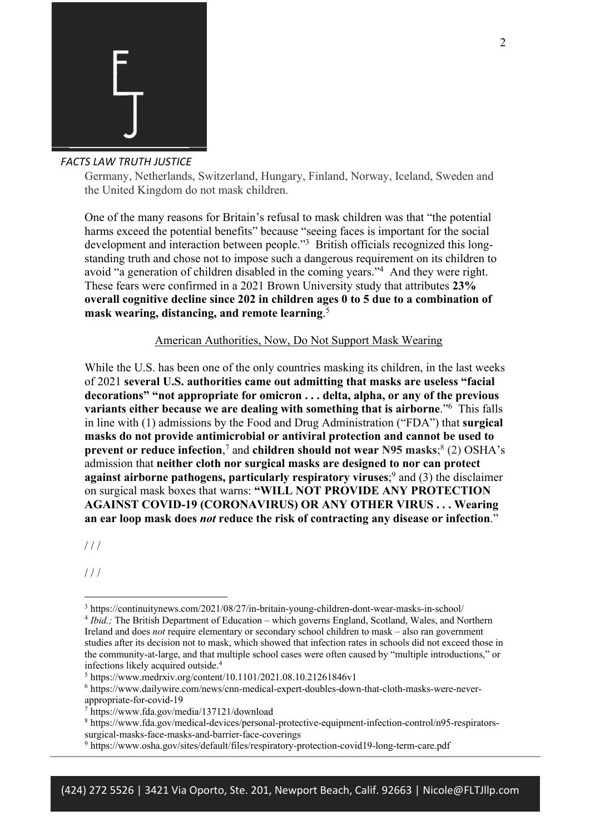

Germany, Netherlands, Switzerland, Hungary, Finland, Norway, Iceland, Sweden and the United Kingdom do not mask children.

One of the many reasons for Britain's refusal to mask children was that "the potential harms exceed the potential benefits" because "seeing faces is important for the social development and interaction between people."<sup>3</sup> British officials recognized this longstanding truth and chose not to impose such a dangerous requirement on its children to avoid "a generation of children disabled in the coming years."4 And they were right. These fears were confirmed in a 2021 Brown University study that attributes **23% overall cognitive decline since 202 in children ages 0 to 5 due to a combination of mask wearing, distancing, and remote learning**. 5

American Authorities, Now, Do Not Support Mask Wearing

While the U.S. has been one of the only countries masking its children, in the last weeks of 2021 **several U.S. authorities came out admitting that masks are useless "facial decorations" "not appropriate for omicron . . . delta, alpha, or any of the previous variants either because we are dealing with something that is airborne**."6 This falls in line with (1) admissions by the Food and Drug Administration ("FDA") that **surgical masks do not provide antimicrobial or antiviral protection and cannot be used to prevent or reduce infection**, <sup>7</sup> and **children should not wear N95 masks**; <sup>8</sup> (2) OSHA's admission that **neither cloth nor surgical masks are designed to nor can protect against airborne pathogens, particularly respiratory viruses**; <sup>9</sup> and (3) the disclaimer on surgical mask boxes that warns: **"WILL NOT PROVIDE ANY PROTECTION AGAINST COVID-19 (CORONAVIRUS) OR ANY OTHER VIRUS . . . Wearing an ear loop mask does** *not* **reduce the risk of contracting any disease or infection**."

 $1/1$ 

/ / /

<sup>3</sup> https://continuitynews.com/2021/08/27/in-britain-young-children-dont-wear-masks-in-school/

<sup>4</sup> *Ibid.;* The British Department of Education – which governs England, Scotland, Wales, and Northern Ireland and does *not* require elementary or secondary school children to mask – also ran government studies after its decision not to mask, which showed that infection rates in schools did not exceed those in the community-at-large, and that multiple school cases were often caused by "multiple introductions," or infections likely acquired outside.4

 <sup>5</sup> https://www.medrxiv.org/content/10.1101/2021.08.10.21261846v1

<sup>6</sup> https://www.dailywire.com/news/cnn-medical-expert-doubles-down-that-cloth-masks-were-never-

appropriate-for-covid-19

<sup>7</sup> https://www.fda.gov/media/137121/download

<sup>8</sup> https://www.fda.gov/medical-devices/personal-protective-equipment-infection-control/n95-respiratorssurgical-masks-face-masks-and-barrier-face-coverings

<sup>9</sup> https://www.osha.gov/sites/default/files/respiratory-protection-covid19-long-term-care.pdf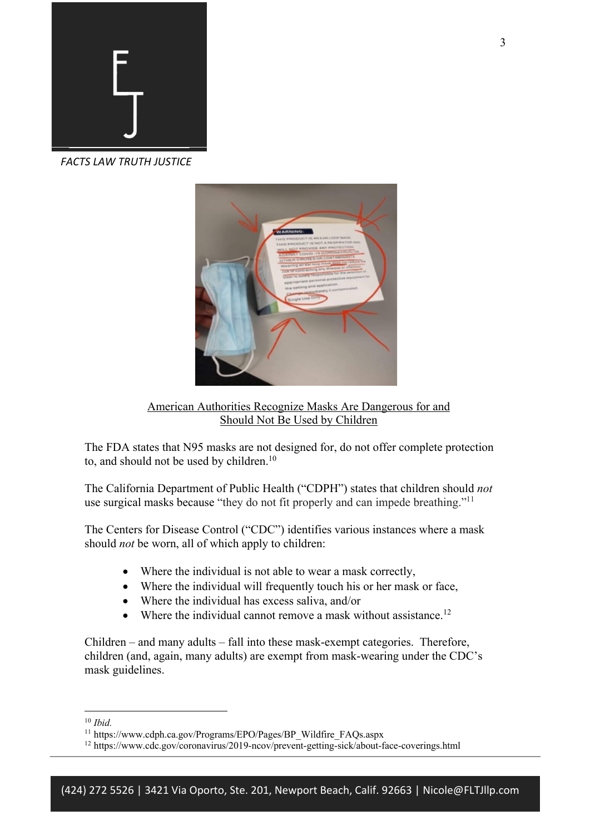

 *FACTS LAW TRUTH JUSTICE*



American Authorities Recognize Masks Are Dangerous for and Should Not Be Used by Children

The FDA states that N95 masks are not designed for, do not offer complete protection to, and should not be used by children. 10

The California Department of Public Health ("CDPH") states that children should *not*  use surgical masks because "they do not fit properly and can impede breathing."<sup>11</sup>

The Centers for Disease Control ("CDC") identifies various instances where a mask should *not* be worn, all of which apply to children:

- Where the individual is not able to wear a mask correctly,
- Where the individual will frequently touch his or her mask or face,
- Where the individual has excess saliva, and/or
- Where the individual cannot remove a mask without assistance.<sup>12</sup>

Children – and many adults – fall into these mask-exempt categories. Therefore, children (and, again, many adults) are exempt from mask-wearing under the CDC's mask guidelines.

<sup>10</sup> *Ibid.* 

<sup>11</sup> https://www.cdph.ca.gov/Programs/EPO/Pages/BP\_Wildfire\_FAQs.aspx

<sup>12</sup> https://www.cdc.gov/coronavirus/2019-ncov/prevent-getting-sick/about-face-coverings.html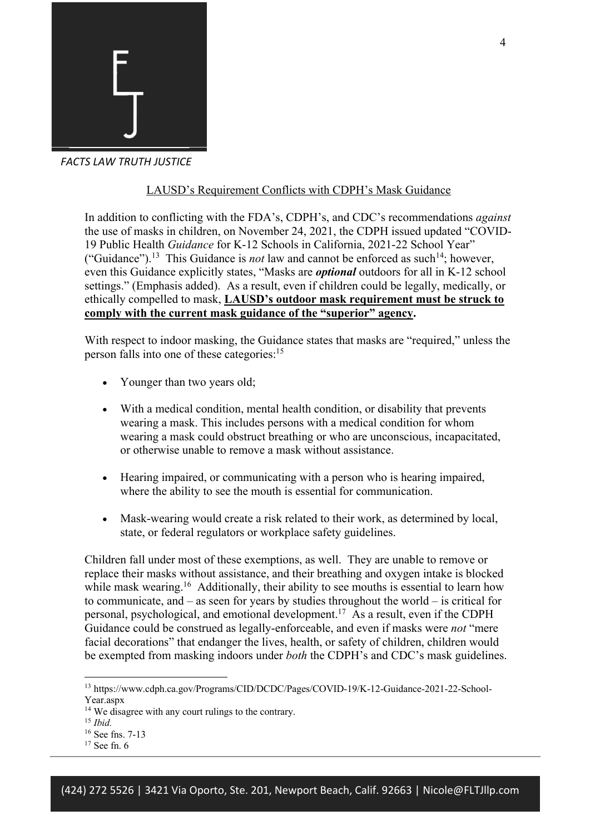

## LAUSD's Requirement Conflicts with CDPH's Mask Guidance

In addition to conflicting with the FDA's, CDPH's, and CDC's recommendations *against*  the use of masks in children, on November 24, 2021, the CDPH issued updated "COVID-19 Public Health *Guidance* for K-12 Schools in California, 2021-22 School Year" ("Guidance").<sup>13</sup> This Guidance is *not* law and cannot be enforced as such<sup>14</sup>; however, even this Guidance explicitly states, "Masks are *optional* outdoors for all in K-12 school settings." (Emphasis added). As a result, even if children could be legally, medically, or ethically compelled to mask, **LAUSD's outdoor mask requirement must be struck to comply with the current mask guidance of the "superior" agency.**

With respect to indoor masking, the Guidance states that masks are "required," unless the person falls into one of these categories:<sup>15</sup>

- Younger than two years old;
- With a medical condition, mental health condition, or disability that prevents wearing a mask. This includes persons with a medical condition for whom wearing a mask could obstruct breathing or who are unconscious, incapacitated, or otherwise unable to remove a mask without assistance.
- Hearing impaired, or communicating with a person who is hearing impaired, where the ability to see the mouth is essential for communication.
- Mask-wearing would create a risk related to their work, as determined by local, state, or federal regulators or workplace safety guidelines.

Children fall under most of these exemptions, as well. They are unable to remove or replace their masks without assistance, and their breathing and oxygen intake is blocked while mask wearing.<sup>16</sup> Additionally, their ability to see mouths is essential to learn how to communicate, and – as seen for years by studies throughout the world – is critical for personal, psychological, and emotional development. 17 As a result, even if the CDPH Guidance could be construed as legally-enforceable, and even if masks were *not* "mere facial decorations" that endanger the lives, health, or safety of children, children would be exempted from masking indoors under *both* the CDPH's and CDC's mask guidelines.

<sup>13</sup> https://www.cdph.ca.gov/Programs/CID/DCDC/Pages/COVID-19/K-12-Guidance-2021-22-School-Year.aspx

<sup>14</sup> We disagree with any court rulings to the contrary. 15 *Ibid.* 

<sup>16</sup> See fns. 7-13

<sup>&</sup>lt;sup>17</sup> See fn. 6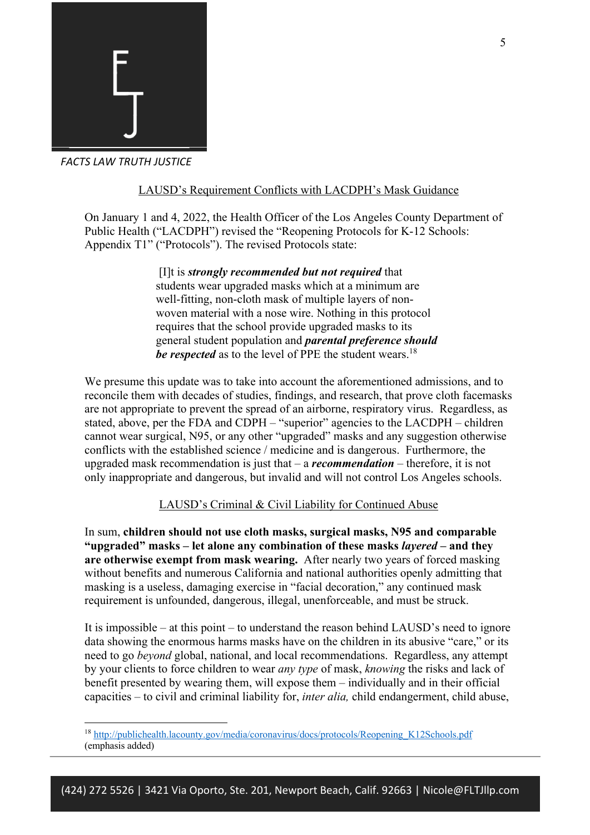

# LAUSD's Requirement Conflicts with LACDPH's Mask Guidance

On January 1 and 4, 2022, the Health Officer of the Los Angeles County Department of Public Health ("LACDPH") revised the "Reopening Protocols for K-12 Schools: Appendix T1" ("Protocols"). The revised Protocols state:

> [I]t is *strongly recommended but not required* that students wear upgraded masks which at a minimum are well-fitting, non-cloth mask of multiple layers of nonwoven material with a nose wire. Nothing in this protocol requires that the school provide upgraded masks to its general student population and *parental preference should*  be respected as to the level of PPE the student wears.<sup>18</sup>

We presume this update was to take into account the aforementioned admissions, and to reconcile them with decades of studies, findings, and research, that prove cloth facemasks are not appropriate to prevent the spread of an airborne, respiratory virus. Regardless, as stated, above, per the FDA and CDPH – "superior" agencies to the LACDPH – children cannot wear surgical, N95, or any other "upgraded" masks and any suggestion otherwise conflicts with the established science / medicine and is dangerous. Furthermore, the upgraded mask recommendation is just that – a *recommendation* – therefore, it is not only inappropriate and dangerous, but invalid and will not control Los Angeles schools.

## LAUSD's Criminal & Civil Liability for Continued Abuse

In sum, **children should not use cloth masks, surgical masks, N95 and comparable "upgraded" masks – let alone any combination of these masks** *layered –* **and they are otherwise exempt from mask wearing.** After nearly two years of forced masking without benefits and numerous California and national authorities openly admitting that masking is a useless, damaging exercise in "facial decoration," any continued mask requirement is unfounded, dangerous, illegal, unenforceable, and must be struck.

It is impossible – at this point – to understand the reason behind LAUSD's need to ignore data showing the enormous harms masks have on the children in its abusive "care," or its need to go *beyond* global, national, and local recommendations. Regardless, any attempt by your clients to force children to wear *any type* of mask, *knowing* the risks and lack of benefit presented by wearing them, will expose them – individually and in their official capacities – to civil and criminal liability for, *inter alia,* child endangerment, child abuse,

<sup>18</sup> http://publichealth.lacounty.gov/media/coronavirus/docs/protocols/Reopening\_K12Schools.pdf (emphasis added)